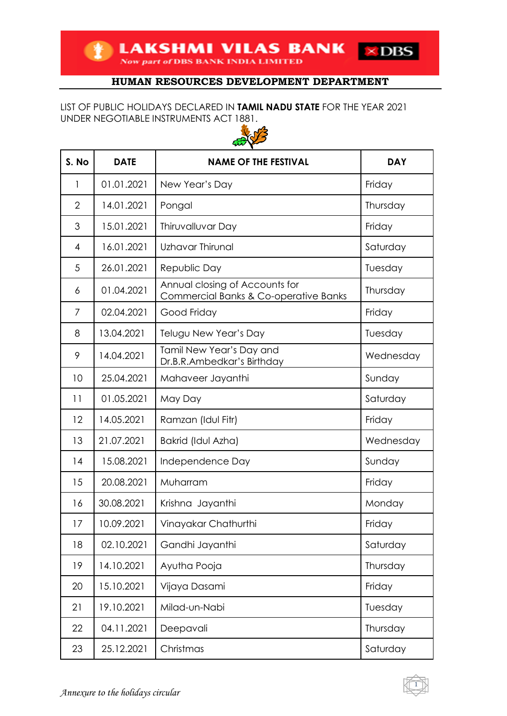**EXAMPLE AND STATE OF DBS BANK INDIA LIMITED**  $\times$  DBS

# **HUMAN RESOURCES DEVELOPMENT DEPARTMENT**

### LIST OF PUBLIC HOLIDAYS DECLARED IN **TAMIL NADU STATE** FOR THE YEAR 2021 UNDER NEGOTIABLE INSTRUMENTS ACT 1881.



| S. No          | <b>DATE</b> | <b>NAME OF THE FESTIVAL</b>                                             | <b>DAY</b> |
|----------------|-------------|-------------------------------------------------------------------------|------------|
| 1              | 01.01.2021  | New Year's Day                                                          | Friday     |
| $\overline{2}$ | 14.01.2021  | Pongal                                                                  | Thursday   |
| 3              | 15.01.2021  | Thiruvalluvar Day                                                       | Friday     |
| 4              | 16.01.2021  | Uzhavar Thirunal                                                        | Saturday   |
| 5              | 26.01.2021  | Republic Day                                                            | Tuesday    |
| 6              | 01.04.2021  | Annual closing of Accounts for<br>Commercial Banks & Co-operative Banks | Thursday   |
| $\overline{7}$ | 02.04.2021  | Good Friday                                                             | Friday     |
| 8              | 13.04.2021  | Telugu New Year's Day                                                   | Tuesday    |
| 9              | 14.04.2021  | Tamil New Year's Day and<br>Dr.B.R.Ambedkar's Birthday                  | Wednesday  |
| 10             | 25.04.2021  | Mahaveer Jayanthi                                                       | Sunday     |
| 11             | 01.05.2021  | May Day                                                                 | Saturday   |
| 12             | 14.05.2021  | Ramzan (Idul Fitr)                                                      | Friday     |
| 13             | 21.07.2021  | Bakrid (Idul Azha)                                                      | Wednesday  |
| 14             | 15.08.2021  | Independence Day                                                        | Sunday     |
| 15             | 20.08.2021  | Muharram                                                                | Friday     |
| 16             | 30.08.2021  | Krishna Jayanthi                                                        | Monday     |
| 17             | 10.09.2021  | Vinayakar Chathurthi                                                    | Friday     |
| 18             | 02.10.2021  | Gandhi Jayanthi                                                         | Saturday   |
| 19             | 14.10.2021  | Ayutha Pooja                                                            | Thursday   |
| 20             | 15.10.2021  | Vijaya Dasami                                                           | Friday     |
| 21             | 19.10.2021  | Milad-un-Nabi                                                           | Tuesday    |
| 22             | 04.11.2021  | Deepavali                                                               | Thursday   |
| 23             | 25.12.2021  | Christmas                                                               | Saturday   |

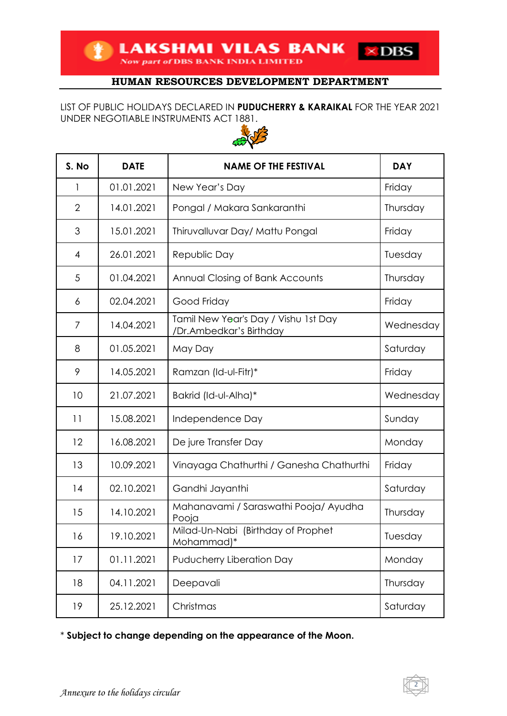**TEAKSHMI VILAS BANK** 

## **HUMAN RESOURCES DEVELOPMENT DEPARTMENT**

 $\times$  DBS

LIST OF PUBLIC HOLIDAYS DECLARED IN **PUDUCHERRY & KARAIKAL** FOR THE YEAR 2021 UNDER NEGOTIABLE INSTRUMENTS ACT 1881.



| S. No          | <b>DATE</b> | <b>NAME OF THE FESTIVAL</b>                                     | <b>DAY</b> |
|----------------|-------------|-----------------------------------------------------------------|------------|
| 1              | 01.01.2021  | New Year's Day                                                  | Friday     |
| $\overline{2}$ | 14.01.2021  | Pongal / Makara Sankaranthi                                     | Thursday   |
| 3              | 15.01.2021  | Thiruvalluvar Day/ Mattu Pongal                                 | Friday     |
| 4              | 26.01.2021  | Republic Day                                                    | Tuesday    |
| 5              | 01.04.2021  | Annual Closing of Bank Accounts                                 | Thursday   |
| 6              | 02.04.2021  | Good Friday                                                     | Friday     |
| 7              | 14.04.2021  | Tamil New Year's Day / Vishu 1st Day<br>/Dr.Ambedkar's Birthday | Wednesday  |
| 8              | 01.05.2021  | May Day                                                         | Saturday   |
| 9              | 14.05.2021  | Ramzan (Id-ul-Fitr)*                                            | Friday     |
| 10             | 21.07.2021  | Bakrid (Id-ul-Alha)*                                            | Wednesday  |
| 11             | 15.08.2021  | Independence Day                                                | Sunday     |
| 12             | 16.08.2021  | De jure Transfer Day                                            | Monday     |
| 13             | 10.09.2021  | Vinayaga Chathurthi / Ganesha Chathurthi                        | Friday     |
| 14             | 02.10.2021  | Gandhi Jayanthi                                                 | Saturday   |
| 15             | 14.10.2021  | Mahanavami / Saraswathi Pooja/ Ayudha<br>Pooja                  | Thursday   |
| 16             | 19.10.2021  | Milad-Un-Nabi (Birthday of Prophet<br>Mohammad)*                | Tuesday    |
| 17             | 01.11.2021  | Puducherry Liberation Day                                       | Monday     |
| 18             | 04.11.2021  | Deepavali                                                       | Thursday   |
| 19             | 25.12.2021  | Christmas                                                       | Saturday   |

\* **Subject to change depending on the appearance of the Moon.**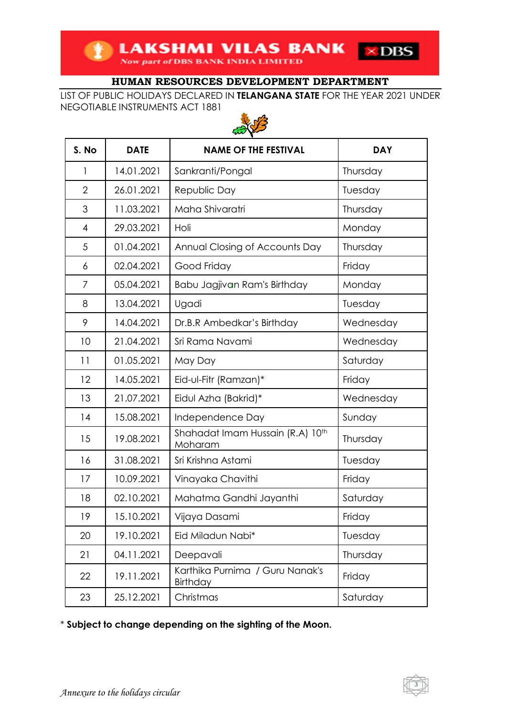LIST OF PUBLIC HOLIDAYS DECLARED IN **TELANGANA STATE** FOR THE YEAR 2021 UNDER NEGOTIABLE INSTRUMENTS ACT 1881



| S. No          | <b>DATE</b> | <b>NAME OF THE FESTIVAL</b>                 | <b>DAY</b> |
|----------------|-------------|---------------------------------------------|------------|
| 1              | 14.01.2021  | Sankranti/Pongal                            | Thursday   |
| $\overline{2}$ | 26.01.2021  | Republic Day                                | Tuesday    |
| 3              | 11.03.2021  | Maha Shivaratri                             | Thursday   |
| 4              | 29.03.2021  | Holi                                        | Monday     |
| 5              | 01.04.2021  | Annual Closing of Accounts Day              | Thursday   |
| 6              | 02.04.2021  | Good Friday                                 | Friday     |
| 7              | 05.04.2021  | Babu Jagjivan Ram's Birthday                | Monday     |
| 8              | 13.04.2021  | Ugadi                                       | Tuesday    |
| 9              | 14.04.2021  | Dr.B.R Ambedkar's Birthday                  | Wednesday  |
| 10             | 21.04.2021  | Sri Rama Navami                             | Wednesday  |
| 11             | 01.05.2021  | May Day                                     | Saturday   |
| 12             | 14.05.2021  | Eid-ul-Fitr (Ramzan)*                       | Friday     |
| 13             | 21.07.2021  | Eidul Azha (Bakrid)*                        | Wednesday  |
| 14             | 15.08.2021  | Independence Day                            | Sunday     |
| 15             | 19.08.2021  | Shahadat Imam Hussain (R.A) 10th<br>Moharam | Thursday   |
| 16             | 31.08.2021  | Sri Krishna Astami                          | Tuesday    |
| 17             | 10.09.2021  | Vinayaka Chavithi                           | Friday     |
| 18             | 02.10.2021  | Mahatma Gandhi Jayanthi                     | Saturday   |
| 19             | 15.10.2021  | Vijaya Dasami                               | Friday     |
| 20             | 19.10.2021  | Eid Miladun Nabi*                           | Tuesday    |
| 21             | 04.11.2021  | Deepavali                                   | Thursday   |
| 22             | 19.11.2021  | Karthika Purnima / Guru Nanak's<br>Birthday | Friday     |
| 23             | 25.12.2021  | Christmas                                   | Saturday   |

\* **Subject to change depending on the sighting of the Moon.**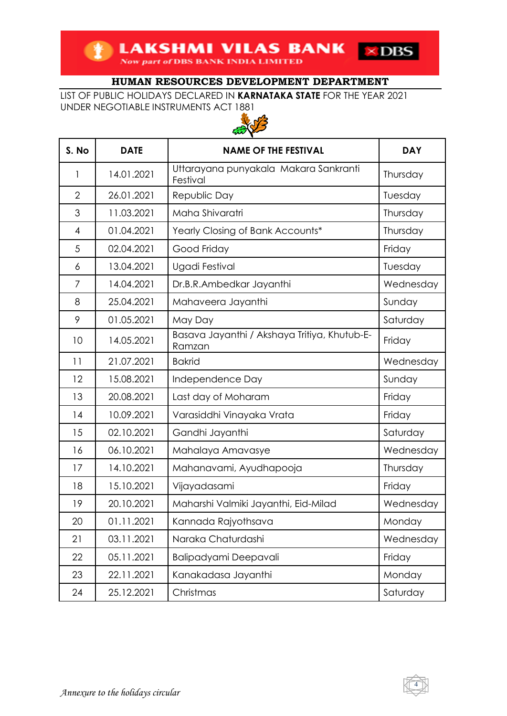LIST OF PUBLIC HOLIDAYS DECLARED IN **KARNATAKA STATE** FOR THE YEAR 2021 UNDER NEGOTIABLE INSTRUMENTS ACT 1881



| S. No          | <b>DATE</b> | <b>NAME OF THE FESTIVAL</b>                            | <b>DAY</b> |
|----------------|-------------|--------------------------------------------------------|------------|
| 1              | 14.01.2021  | Uttarayana punyakala Makara Sankranti<br>Festival      | Thursday   |
| $\overline{2}$ | 26.01.2021  | Republic Day                                           | Tuesday    |
| 3              | 11.03.2021  | Maha Shivaratri                                        | Thursday   |
| $\overline{4}$ | 01.04.2021  | Yearly Closing of Bank Accounts*                       | Thursday   |
| 5              | 02.04.2021  | Good Friday                                            | Friday     |
| 6              | 13.04.2021  | Ugadi Festival                                         | Tuesday    |
| 7              | 14.04.2021  | Dr.B.R.Ambedkar Jayanthi                               | Wednesday  |
| 8              | 25.04.2021  | Mahaveera Jayanthi                                     | Sunday     |
| 9              | 01.05.2021  | May Day                                                | Saturday   |
| 10             | 14.05.2021  | Basava Jayanthi / Akshaya Tritiya, Khutub-E-<br>Ramzan | Friday     |
| 11             | 21.07.2021  | <b>Bakrid</b>                                          | Wednesday  |
| 12             | 15.08.2021  | Independence Day                                       | Sunday     |
| 13             | 20.08.2021  | Last day of Moharam                                    | Friday     |
| 14             | 10.09.2021  | Varasiddhi Vinayaka Vrata                              | Friday     |
| 15             | 02.10.2021  | Gandhi Jayanthi                                        | Saturday   |
| 16             | 06.10.2021  | Mahalaya Amavasye                                      | Wednesday  |
| 17             | 14.10.2021  | Mahanavami, Ayudhapooja                                | Thursday   |
| 18             | 15.10.2021  | Vijayadasami                                           | Friday     |
| 19             | 20.10.2021  | Maharshi Valmiki Jayanthi, Eid-Milad                   | Wednesday  |
| 20             | 01.11.2021  | Kannada Rajyothsava                                    | Monday     |
| 21             | 03.11.2021  | Naraka Chaturdashi                                     | Wednesday  |
| 22             | 05.11.2021  | Balipadyami Deepavali                                  | Friday     |
| 23             | 22.11.2021  | Kanakadasa Jayanthi                                    | Monday     |
| 24             | 25.12.2021  | Christmas                                              | Saturday   |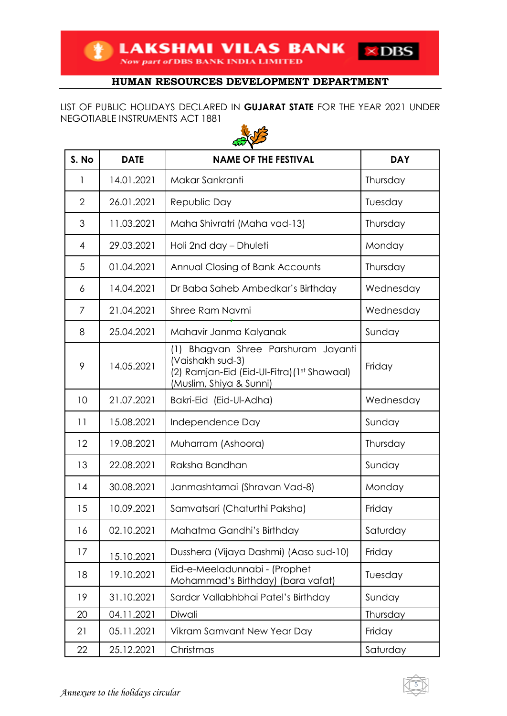LIST OF PUBLIC HOLIDAYS DECLARED IN **GUJARAT STATE** FOR THE YEAR 2021 UNDER NEGOTIABLE INSTRUMENTS ACT 1881



| S. No          | <b>DATE</b> | <b>NAME OF THE FESTIVAL</b>                                                                                                       | <b>DAY</b> |
|----------------|-------------|-----------------------------------------------------------------------------------------------------------------------------------|------------|
| 1              | 14.01.2021  | Makar Sankranti                                                                                                                   | Thursday   |
| $\overline{2}$ | 26.01.2021  | Republic Day                                                                                                                      | Tuesday    |
| 3              | 11.03.2021  | Maha Shivratri (Maha vad-13)                                                                                                      | Thursday   |
| 4              | 29.03.2021  | Holi 2nd day - Dhuleti                                                                                                            | Monday     |
| 5              | 01.04.2021  | Annual Closing of Bank Accounts                                                                                                   | Thursday   |
| 6              | 14.04.2021  | Dr Baba Saheb Ambedkar's Birthday                                                                                                 | Wednesday  |
| 7              | 21.04.2021  | Shree Ram Navmi                                                                                                                   | Wednesday  |
| 8              | 25.04.2021  | Mahavir Janma Kalyanak                                                                                                            | Sunday     |
| 9              | 14.05.2021  | (1) Bhagvan Shree Parshuram Jayanti<br>(Vaishakh sud-3)<br>(2) Ramjan-Eid (Eid-Ul-Fitra) (1st Shawaal)<br>(Muslim, Shiya & Sunni) | Friday     |
| 10             | 21.07.2021  | Bakri-Eid (Eid-Ul-Adha)                                                                                                           | Wednesday  |
| 11             | 15.08.2021  | Independence Day                                                                                                                  | Sunday     |
| 12             | 19.08.2021  | Muharram (Ashoora)                                                                                                                | Thursday   |
| 13             | 22.08.2021  | Raksha Bandhan                                                                                                                    | Sunday     |
| 14             | 30.08.2021  | Janmashtamai (Shravan Vad-8)                                                                                                      | Monday     |
| 15             | 10.09.2021  | Samvatsari (Chaturthi Paksha)                                                                                                     | Friday     |
| 16             | 02.10.2021  | Mahatma Gandhi's Birthday                                                                                                         | Saturday   |
| 17             | 15.10.2021  | Dusshera (Vijaya Dashmi) (Aaso sud-10)                                                                                            | Friday     |
| 18             | 19.10.2021  | Eid-e-Meeladunnabi - (Prophet<br>Mohammad's Birthday) (bara vafat)                                                                | Tuesday    |
| 19             | 31.10.2021  | Sardar Vallabhbhai Patel's Birthday                                                                                               | Sunday     |
| 20             | 04.11.2021  | Diwali                                                                                                                            | Thursday   |
| 21             | 05.11.2021  | Vikram Samvant New Year Day                                                                                                       | Friday     |
| 22             | 25.12.2021  | Christmas                                                                                                                         | Saturday   |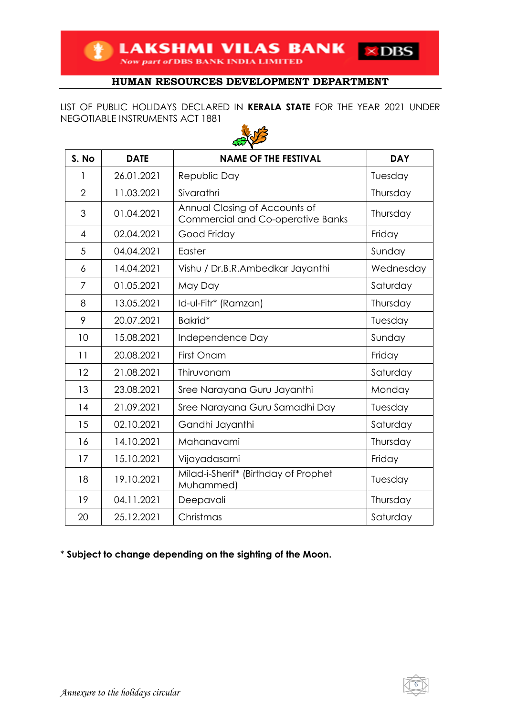**EXAMPLE SEARS HANK INDIA LIMITED** 

### **HUMAN RESOURCES DEVELOPMENT DEPARTMENT**

 $\times$  DBS

LIST OF PUBLIC HOLIDAYS DECLARED IN **KERALA STATE** FOR THE YEAR 2021 UNDER NEGOTIABLE INSTRUMENTS ACT 1881



| S. No          | <b>DATE</b> | <b>NAME OF THE FESTIVAL</b>                                               | <b>DAY</b> |
|----------------|-------------|---------------------------------------------------------------------------|------------|
| 1              | 26.01.2021  | Republic Day                                                              | Tuesday    |
| $\overline{2}$ | 11.03.2021  | Sivarathri                                                                | Thursday   |
| 3              | 01.04.2021  | Annual Closing of Accounts of<br><b>Commercial and Co-operative Banks</b> | Thursday   |
| $\overline{4}$ | 02.04.2021  | Good Friday                                                               | Friday     |
| 5              | 04.04.2021  | Easter                                                                    | Sunday     |
| 6              | 14.04.2021  | Vishu / Dr.B.R.Ambedkar Jayanthi                                          | Wednesday  |
| 7              | 01.05.2021  | May Day                                                                   | Saturday   |
| 8              | 13.05.2021  | Id-ul-Fitr* (Ramzan)                                                      | Thursday   |
| 9              | 20.07.2021  | Bakrid*                                                                   | Tuesday    |
| 10             | 15.08.2021  | Independence Day                                                          | Sunday     |
| 11             | 20.08.2021  | First Onam                                                                | Friday     |
| 12             | 21.08.2021  | Thiruvonam                                                                | Saturday   |
| 13             | 23.08.2021  | Sree Narayana Guru Jayanthi                                               | Monday     |
| 14             | 21.09.2021  | Sree Narayana Guru Samadhi Day                                            | Tuesday    |
| 15             | 02.10.2021  | Gandhi Jayanthi                                                           | Saturday   |
| 16             | 14.10.2021  | Mahanavami                                                                | Thursday   |
| 17             | 15.10.2021  | Vijayadasami                                                              | Friday     |
| 18             | 19.10.2021  | Milad-i-Sherif* (Birthday of Prophet<br>Muhammed)                         | Tuesday    |
| 19             | 04.11.2021  | Deepavali                                                                 | Thursday   |
| 20             | 25.12.2021  | Christmas                                                                 | Saturday   |

\* **Subject to change depending on the sighting of the Moon.**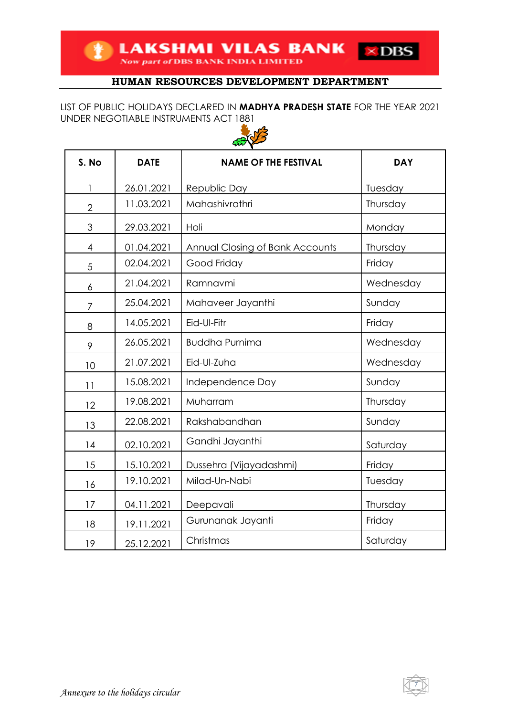### LIST OF PUBLIC HOLIDAYS DECLARED IN **MADHYA PRADESH STATE** FOR THE YEAR 2021 UNDER NEGOTIABLE INSTRUMENTS ACT 1881



| S. No          | <b>DATE</b> | <b>NAME OF THE FESTIVAL</b>     | <b>DAY</b> |
|----------------|-------------|---------------------------------|------------|
| 1              | 26.01.2021  | Republic Day                    | Tuesday    |
| $\overline{2}$ | 11.03.2021  | Mahashivrathri                  | Thursday   |
| 3              | 29.03.2021  | Holi                            | Monday     |
| 4              | 01.04.2021  | Annual Closing of Bank Accounts | Thursday   |
| 5              | 02.04.2021  | Good Friday                     | Friday     |
| 6              | 21.04.2021  | Ramnavmi                        | Wednesday  |
| 7              | 25.04.2021  | Mahaveer Jayanthi               | Sunday     |
| 8              | 14.05.2021  | Eid-Ul-Fitr                     | Friday     |
| 9              | 26.05.2021  | <b>Buddha Purnima</b>           | Wednesday  |
| 10             | 21.07.2021  | Eid-Ul-Zuha                     | Wednesday  |
| 11             | 15.08.2021  | Independence Day                | Sunday     |
| 12             | 19.08.2021  | Muharram                        | Thursday   |
| 13             | 22.08.2021  | Rakshabandhan                   | Sunday     |
| 14             | 02.10.2021  | Gandhi Jayanthi                 | Saturday   |
| 15             | 15.10.2021  | Dussehra (Vijayadashmi)         | Friday     |
| 16             | 19.10.2021  | Milad-Un-Nabi                   | Tuesday    |
| 17             | 04.11.2021  | Deepavali                       | Thursday   |
| 18             | 19.11.2021  | Gurunanak Jayanti               | Friday     |
| 19             | 25.12.2021  | Christmas                       | Saturday   |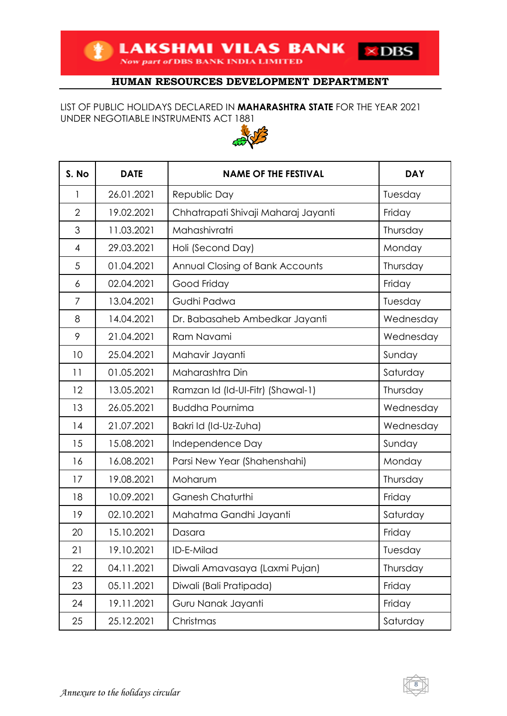**EXAMPLE AND MILAS BANK**  $\times$  DBS

# **HUMAN RESOURCES DEVELOPMENT DEPARTMENT**

#### LIST OF PUBLIC HOLIDAYS DECLARED IN **MAHARASHTRA STATE** FOR THE YEAR 2021 UNDER NEGOTIABLE INSTRUMENTS ACT 1881



| S. No          | <b>DATE</b> | <b>NAME OF THE FESTIVAL</b>            | <b>DAY</b> |
|----------------|-------------|----------------------------------------|------------|
| $\mathbf{1}$   | 26.01.2021  | Republic Day                           | Tuesday    |
| $\overline{2}$ | 19.02.2021  | Chhatrapati Shivaji Maharaj Jayanti    | Friday     |
| 3              | 11.03.2021  | Mahashivratri                          | Thursday   |
| $\overline{4}$ | 29.03.2021  | Holi (Second Day)                      | Monday     |
| 5              | 01.04.2021  | <b>Annual Closing of Bank Accounts</b> | Thursday   |
| 6              | 02.04.2021  | Good Friday                            | Friday     |
| 7              | 13.04.2021  | Gudhi Padwa                            | Tuesday    |
| 8              | 14.04.2021  | Dr. Babasaheb Ambedkar Jayanti         | Wednesday  |
| 9              | 21.04.2021  | Ram Navami                             | Wednesday  |
| 10             | 25.04.2021  | Mahavir Jayanti                        | Sunday     |
| 11             | 01.05.2021  | Maharashtra Din                        | Saturday   |
| 12             | 13.05.2021  | Ramzan Id (Id-UI-Fitr) (Shawal-1)      | Thursday   |
| 13             | 26.05.2021  | <b>Buddha Pournima</b>                 | Wednesday  |
| 14             | 21.07.2021  | Bakri Id (Id-Uz-Zuha)                  | Wednesday  |
| 15             | 15.08.2021  | Independence Day                       | Sunday     |
| 16             | 16.08.2021  | Parsi New Year (Shahenshahi)           | Monday     |
| 17             | 19.08.2021  | Moharum                                | Thursday   |
| 18             | 10.09.2021  | <b>Ganesh Chaturthi</b>                | Friday     |
| 19             | 02.10.2021  | Mahatma Gandhi Jayanti                 | Saturday   |
| 20             | 15.10.2021  | Dasara                                 | Friday     |
| 21             | 19.10.2021  | ID-E-Milad                             | Tuesday    |
| 22             | 04.11.2021  | Diwali Amavasaya (Laxmi Pujan)         | Thursday   |
| 23             | 05.11.2021  | Diwali (Bali Pratipada)                | Friday     |
| 24             | 19.11.2021  | Guru Nanak Jayanti                     | Friday     |
| 25             | 25.12.2021  | Christmas                              | Saturday   |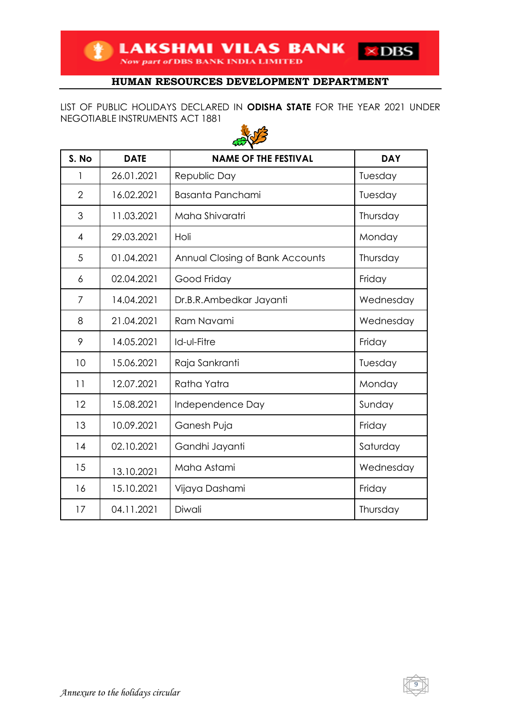LIST OF PUBLIC HOLIDAYS DECLARED IN **ODISHA STATE** FOR THE YEAR 2021 UNDER NEGOTIABLE INSTRUMENTS ACT 1881



| S. No          | <b>DATE</b> | <b>NAME OF THE FESTIVAL</b>     | <b>DAY</b> |
|----------------|-------------|---------------------------------|------------|
| 1              | 26.01.2021  | Republic Day                    | Tuesday    |
| $\overline{2}$ | 16.02.2021  | <b>Basanta Panchami</b>         | Tuesday    |
| 3              | 11.03.2021  | Maha Shivaratri                 | Thursday   |
| 4              | 29.03.2021  | Holi                            | Monday     |
| 5              | 01.04.2021  | Annual Closing of Bank Accounts | Thursday   |
| 6              | 02.04.2021  | Good Friday                     | Friday     |
| 7              | 14.04.2021  | Dr.B.R.Ambedkar Jayanti         | Wednesday  |
| 8              | 21.04.2021  | Ram Navami                      | Wednesday  |
| 9              | 14.05.2021  | Id-ul-Fitre                     | Friday     |
| 10             | 15.06.2021  | Raja Sankranti                  | Tuesday    |
| 11             | 12.07.2021  | Ratha Yatra                     | Monday     |
| 12             | 15.08.2021  | Independence Day                | Sunday     |
| 13             | 10.09.2021  | Ganesh Puja                     | Friday     |
| 14             | 02.10.2021  | Gandhi Jayanti                  | Saturday   |
| 15             | 13.10.2021  | Maha Astami                     | Wednesday  |
| 16             | 15.10.2021  | Vijaya Dashami                  | Friday     |
| 17             | 04.11.2021  | Diwali                          | Thursday   |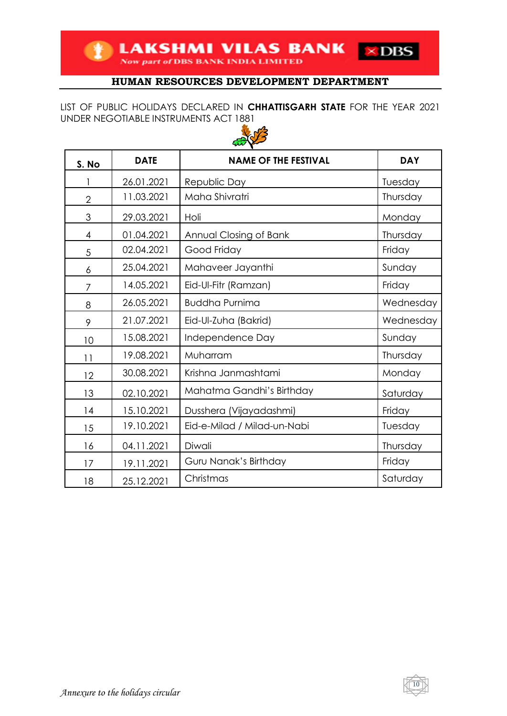**TEAKSHMI VILAS BANK** 

## **HUMAN RESOURCES DEVELOPMENT DEPARTMENT**

 $\times$  DBS

LIST OF PUBLIC HOLIDAYS DECLARED IN **CHHATTISGARH STATE** FOR THE YEAR 2021 UNDER NEGOTIABLE INSTRUMENTS ACT 1881



| S. No          | <b>DATE</b> | <b>NAME OF THE FESTIVAL</b> | <b>DAY</b> |
|----------------|-------------|-----------------------------|------------|
|                | 26.01.2021  | Republic Day                | Tuesday    |
| $\overline{2}$ | 11.03.2021  | Maha Shivratri              | Thursday   |
| 3              | 29.03.2021  | Holi                        | Monday     |
| $\overline{4}$ | 01.04.2021  | Annual Closing of Bank      | Thursday   |
| 5              | 02.04.2021  | Good Friday                 | Friday     |
| 6              | 25.04.2021  | Mahaveer Jayanthi           | Sunday     |
| $\overline{7}$ | 14.05.2021  | Eid-Ul-Fitr (Ramzan)        | Friday     |
| 8              | 26.05.2021  | <b>Buddha Purnima</b>       | Wednesday  |
| 9              | 21.07.2021  | Eid-Ul-Zuha (Bakrid)        | Wednesday  |
| 10             | 15.08.2021  | Independence Day            | Sunday     |
| 11             | 19.08.2021  | Muharram                    | Thursday   |
| 12             | 30.08.2021  | Krishna Janmashtami         | Monday     |
| 13             | 02.10.2021  | Mahatma Gandhi's Birthday   | Saturday   |
| 14             | 15.10.2021  | Dusshera (Vijayadashmi)     | Friday     |
| 15             | 19.10.2021  | Eid-e-Milad / Milad-un-Nabi | Tuesday    |
| 16             | 04.11.2021  | Diwali                      | Thursday   |
| 17             | 19.11.2021  | Guru Nanak's Birthday       | Friday     |
| 18             | 25.12.2021  | Christmas                   | Saturday   |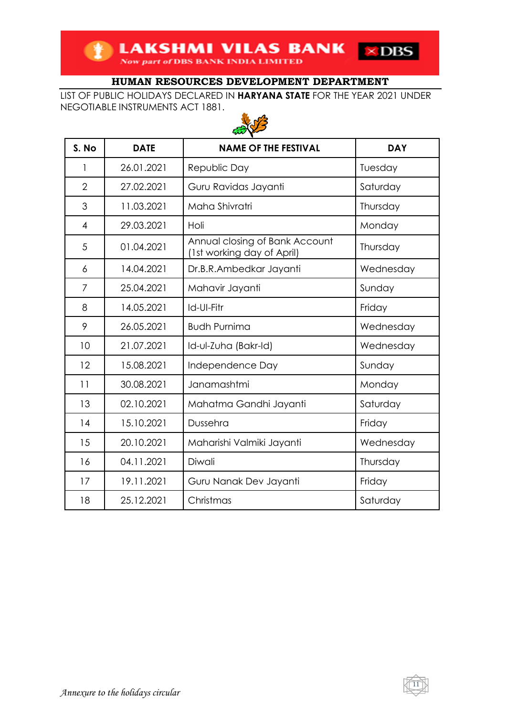LIST OF PUBLIC HOLIDAYS DECLARED IN **HARYANA STATE** FOR THE YEAR 2021 UNDER NEGOTIABLE INSTRUMENTS ACT 1881.



| S. No          | <b>DATE</b> | <b>NAME OF THE FESTIVAL</b>                                  | <b>DAY</b> |
|----------------|-------------|--------------------------------------------------------------|------------|
| 1              | 26.01.2021  | Republic Day                                                 | Tuesday    |
| $\overline{2}$ | 27.02.2021  | Guru Ravidas Jayanti                                         | Saturday   |
| 3              | 11.03.2021  | Maha Shivratri                                               | Thursday   |
| 4              | 29.03.2021  | Holi                                                         | Monday     |
| 5              | 01.04.2021  | Annual closing of Bank Account<br>(1st working day of April) | Thursday   |
| 6              | 14.04.2021  | Dr.B.R.Ambedkar Jayanti                                      | Wednesday  |
| 7              | 25.04.2021  | Mahavir Jayanti                                              | Sunday     |
| 8              | 14.05.2021  | Id-UI-Fitr                                                   | Friday     |
| 9              | 26.05.2021  | <b>Budh Purnima</b>                                          | Wednesday  |
| 10             | 21.07.2021  | Id-ul-Zuha (Bakr-Id)                                         | Wednesday  |
| 12             | 15.08.2021  | Independence Day                                             | Sunday     |
| 11             | 30.08.2021  | Janamashtmi                                                  | Monday     |
| 13             | 02.10.2021  | Mahatma Gandhi Jayanti                                       | Saturday   |
| 14             | 15.10.2021  | Dussehra                                                     | Friday     |
| 15             | 20.10.2021  | Maharishi Valmiki Jayanti                                    | Wednesday  |
| 16             | 04.11.2021  | Diwali                                                       | Thursday   |
| 17             | 19.11.2021  | Guru Nanak Dev Jayanti                                       | Friday     |
| 18             | 25.12.2021  | Christmas                                                    | Saturday   |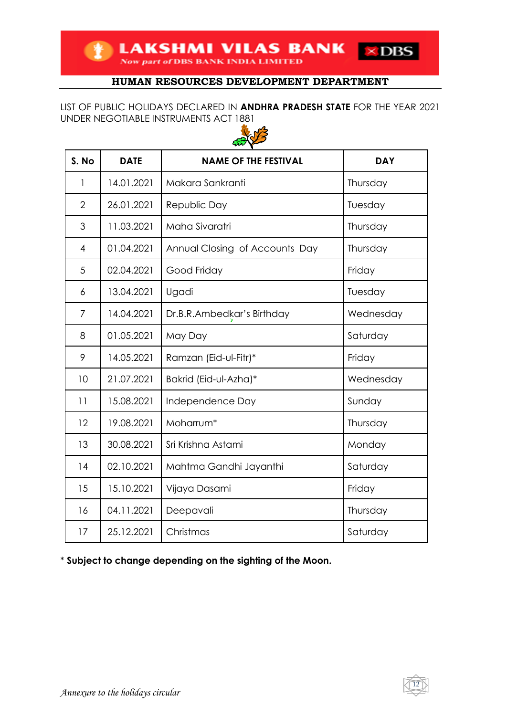**LAKSHMI VILAS BANK** 

# **HUMAN RESOURCES DEVELOPMENT DEPARTMENT**

 $\times$  DBS

LIST OF PUBLIC HOLIDAYS DECLARED IN **ANDHRA PRADESH STATE** FOR THE YEAR 2021 UNDER NEGOTIABLE INSTRUMENTS ACT 1881



| S. No          | <b>DATE</b> | <b>NAME OF THE FESTIVAL</b>    | <b>DAY</b> |
|----------------|-------------|--------------------------------|------------|
| $\mathbf{1}$   | 14.01.2021  | Makara Sankranti               | Thursday   |
| $\overline{2}$ | 26.01.2021  | Republic Day                   | Tuesday    |
| 3              | 11.03.2021  | Maha Sivaratri                 | Thursday   |
| $\overline{4}$ | 01.04.2021  | Annual Closing of Accounts Day | Thursday   |
| 5              | 02.04.2021  | Good Friday                    | Friday     |
| 6              | 13.04.2021  | Ugadi                          | Tuesday    |
| 7              | 14.04.2021  | Dr.B.R.Ambedkar's Birthday     | Wednesday  |
| 8              | 01.05.2021  | May Day                        | Saturday   |
| 9              | 14.05.2021  | Ramzan (Eid-ul-Fitr)*          | Friday     |
| 10             | 21.07.2021  | Bakrid (Eid-ul-Azha)*          | Wednesday  |
| 11             | 15.08.2021  | Independence Day               | Sunday     |
| 12             | 19.08.2021  | Moharrum*                      | Thursday   |
| 13             | 30.08.2021  | Sri Krishna Astami             | Monday     |
| 14             | 02.10.2021  | Mahtma Gandhi Jayanthi         | Saturday   |
| 15             | 15.10.2021  | Vijaya Dasami                  | Friday     |
| 16             | 04.11.2021  | Deepavali                      | Thursday   |
| 17             | 25.12.2021  | Christmas                      | Saturday   |

\* **Subject to change depending on the sighting of the Moon.**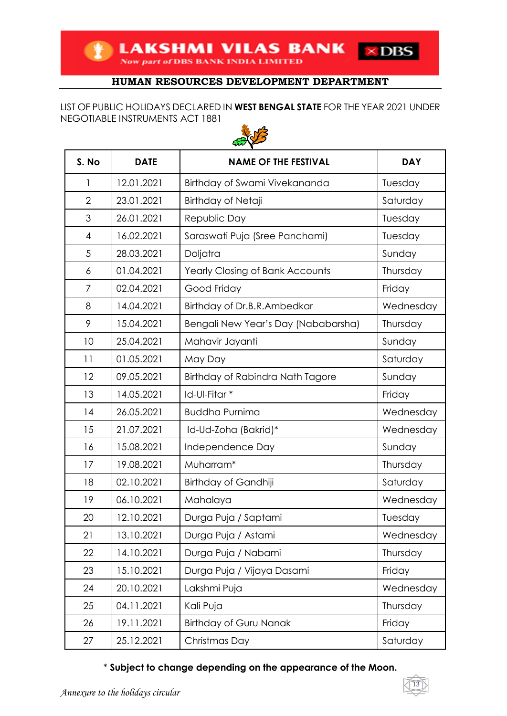## LIST OF PUBLIC HOLIDAYS DECLARED IN **WEST BENGAL STATE** FOR THE YEAR 2021 UNDER NEGOTIABLE INSTRUMENTS ACT 1881



| S. No          | <b>DATE</b> | <b>NAME OF THE FESTIVAL</b>            | <b>DAY</b> |
|----------------|-------------|----------------------------------------|------------|
| 1              | 12.01.2021  | Birthday of Swami Vivekananda          | Tuesday    |
| $\overline{2}$ | 23.01.2021  | Birthday of Netaji                     | Saturday   |
| 3              | 26.01.2021  | Republic Day                           | Tuesday    |
| $\overline{4}$ | 16.02.2021  | Saraswati Puja (Sree Panchami)         | Tuesday    |
| 5              | 28.03.2021  | Doljatra                               | Sunday     |
| 6              | 01.04.2021  | <b>Yearly Closing of Bank Accounts</b> | Thursday   |
| 7              | 02.04.2021  | Good Friday                            | Friday     |
| 8              | 14.04.2021  | Birthday of Dr.B.R.Ambedkar            | Wednesday  |
| 9              | 15.04.2021  | Bengali New Year's Day (Nababarsha)    | Thursday   |
| 10             | 25.04.2021  | Mahavir Jayanti                        | Sunday     |
| 11             | 01.05.2021  | May Day                                | Saturday   |
| 12             | 09.05.2021  | Birthday of Rabindra Nath Tagore       | Sunday     |
| 13             | 14.05.2021  | Id-Ul-Fitar *                          | Friday     |
| 14             | 26.05.2021  | <b>Buddha Purnima</b>                  | Wednesday  |
| 15             | 21.07.2021  | Id-Ud-Zoha (Bakrid)*                   | Wednesday  |
| 16             | 15.08.2021  | Independence Day                       | Sunday     |
| 17             | 19.08.2021  | Muharram*                              | Thursday   |
| 18             | 02.10.2021  | Birthday of Gandhiji                   | Saturday   |
| 19             | 06.10.2021  | Mahalaya                               | Wednesday  |
| 20             | 12.10.2021  | Durga Puja / Saptami                   | Tuesday    |
| 21             | 13.10.2021  | Durga Puja / Astami                    | Wednesday  |
| 22             | 14.10.2021  | Durga Puja / Nabami                    | Thursday   |
| 23             | 15.10.2021  | Durga Puja / Vijaya Dasami             | Friday     |
| 24             | 20.10.2021  | Lakshmi Puja                           | Wednesday  |
| 25             | 04.11.2021  | Kali Puja                              | Thursday   |
| 26             | 19.11.2021  | <b>Birthday of Guru Nanak</b>          | Friday     |
| 27             | 25.12.2021  | Christmas Day                          | Saturday   |

\* **Subject to change depending on the appearance of the Moon.**

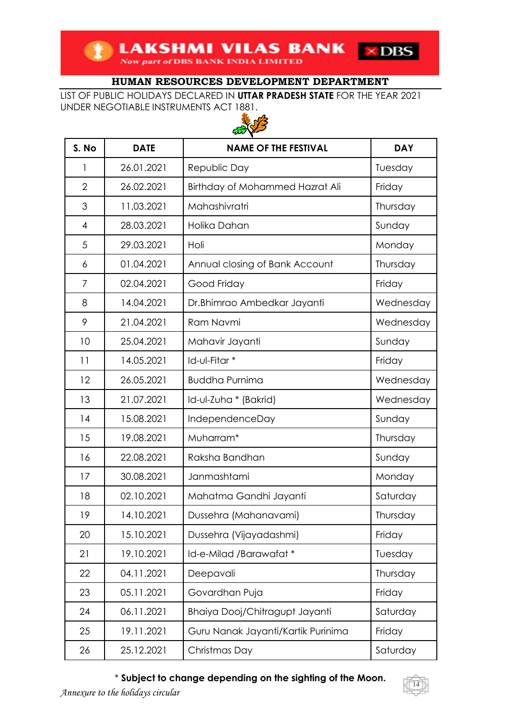LIST OF PUBLIC HOLIDAYS DECLARED IN **UTTAR PRADESH STATE** FOR THE YEAR 2021 UNDER NEGOTIABLE INSTRUMENTS ACT 1881.



| S. No          | <b>DATE</b> | <b>NAME OF THE FESTIVAL</b>        | <b>DAY</b> |
|----------------|-------------|------------------------------------|------------|
| 1              | 26.01.2021  | Republic Day                       | Tuesday    |
| $\overline{2}$ | 26.02.2021  | Birthday of Mohammed Hazrat Ali    | Friday     |
| 3              | 11.03.2021  | Mahashivratri                      | Thursday   |
| $\overline{4}$ | 28.03.2021  | Holika Dahan                       | Sunday     |
| 5              | 29.03.2021  | Holi                               | Monday     |
| 6              | 01.04.2021  | Annual closing of Bank Account     | Thursday   |
| $\overline{7}$ | 02.04.2021  | Good Friday                        | Friday     |
| 8              | 14.04.2021  | Dr.Bhimrao Ambedkar Jayanti        | Wednesday  |
| 9              | 21.04.2021  | Ram Navmi                          | Wednesday  |
| 10             | 25.04.2021  | Mahavir Jayanti                    | Sunday     |
| 11             | 14.05.2021  | Id-ul-Fitar *                      | Friday     |
| 12             | 26.05.2021  | <b>Buddha Purnima</b>              | Wednesday  |
| 13             | 21.07.2021  | Id-ul-Zuha * (Bakrid)              | Wednesday  |
| 14             | 15.08.2021  | IndependenceDay                    | Sunday     |
| 15             | 19.08.2021  | Muharram*                          | Thursday   |
| 16             | 22.08.2021  | Raksha Bandhan                     | Sunday     |
| 17             | 30.08.2021  | Janmashtami                        | Monday     |
| 18             | 02.10.2021  | Mahatma Gandhi Jayanti             | Saturday   |
| 19             | 14.10.2021  | Dussehra (Mahanavami)              | Thursday   |
| 20             | 15.10.2021  | Dussehra (Vijayadashmi)            | Friday     |
| 21             | 19.10.2021  | Id-e-Milad /Barawafat*             | Tuesday    |
| 22             | 04.11.2021  | Deepavali                          | Thursday   |
| 23             | 05.11.2021  | Govardhan Puja                     | Friday     |
| 24             | 06.11.2021  | Bhaiya Dooj/Chitragupt Jayanti     | Saturday   |
| 25             | 19.11.2021  | Guru Nanak Jayanti/Kartik Purinima | Friday     |
| 26             | 25.12.2021  | Christmas Day                      | Saturday   |

# \* **Subject to change depending on the sighting of the Moon.**